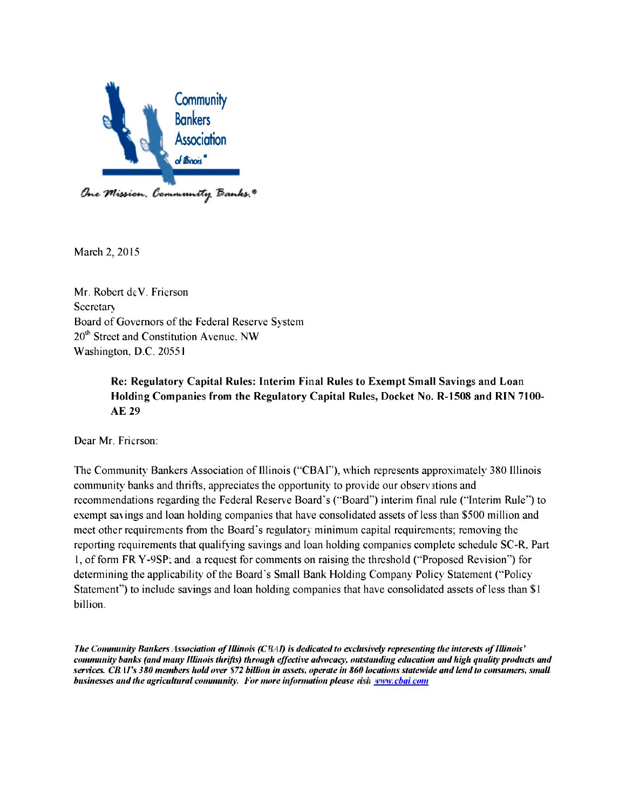

March 2, 2015.

Mr. Robert deV. Frierson **Secretary** Board of Governors of the Federal Reserve System 20<sup>th</sup> Street and Constitution Avenue. NW Washington. D.C. 20551.

> **Re: Regulatory Capital Rules: Interim Final Rules to Exempt Small Savings and Loan Holding Companies from the Regulatory Capital Rules, Docket No. R-1508 and RIN 7100- AE 29.**

Dear Mr. Frierson:

The Community Bankers Association of Illinois ('"CBAI"), which represents approximately 380 Illinois community banks and thrifts, appreciates the opportunity to provide our observ tions and recommendations regarding the Federal Reserve Board's ("Board") interim final rule ("Interim Rule") to exempt savings and loan holding companies that have consolidated assets of less than \$500 million and meet other requirements from the Board's regulatory minimum capital requirements; removing the reporting requirements that qualifying savings and loan holding companies complete schedule SC-R. Part 1, of form FR Y-9SP; and, a request for comments on raising the threshold ("Proposed Revision") for determining the applicability of the Board's Small Bank Holding Company Policy Statement ("Policy Statement") to include savings and loan holding companies that have consolidated assets of less than \$1 billion.

*The Community Rankers Association of Illinois (C*BA*I) is dedicated to exclusively representing the interests of Illinois' community hanks (and many Illinois thrifts) through effective advocacy, outstanding education and high quality products and services. CBAI's 380 members hold over \$72 billion in assets, operate in 860 locations statewide and lend to consumers, small businesses and the agricultural community. For more information please* visit www*.cbai.com*